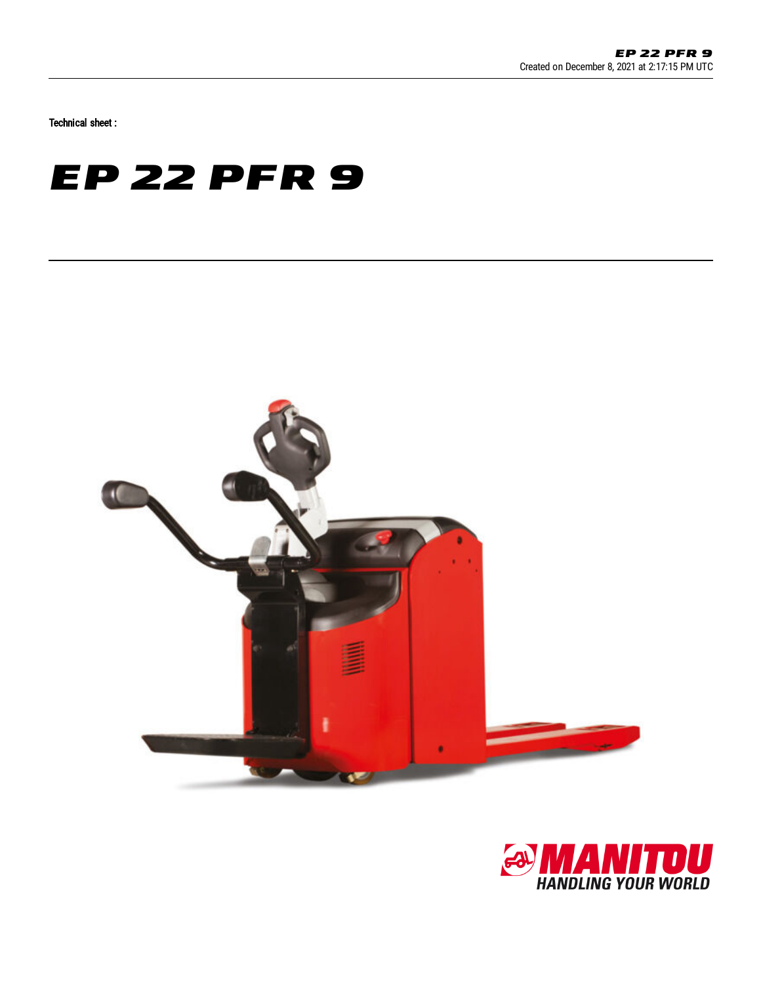Technical sheet :

## **EP 22 PFR 9**



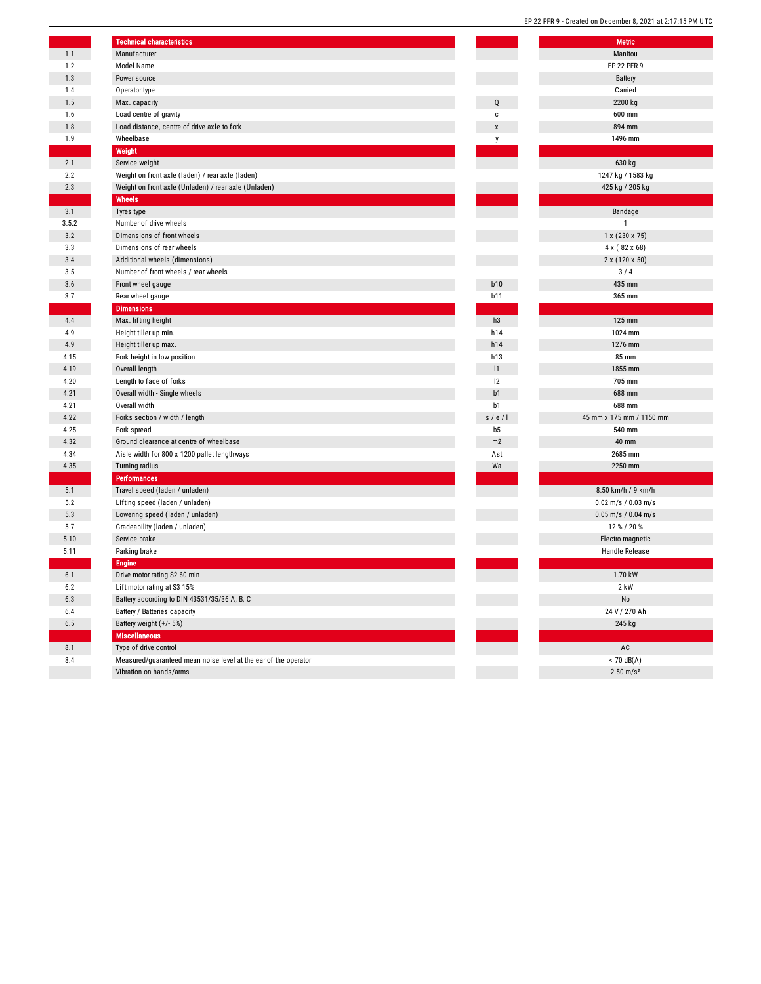|       | <b>Technical characteristics</b>                                |            | Me              |
|-------|-----------------------------------------------------------------|------------|-----------------|
|       | Manufacturer                                                    |            | Man             |
|       | Model Name                                                      |            | <b>EP 22</b>    |
|       | Power source                                                    |            | Bat             |
|       | Operator type                                                   |            | Can             |
|       | Max. capacity                                                   | Q          | 220             |
|       | Load centre of gravity                                          | c          | 600             |
|       | Load distance, centre of drive axle to fork                     | X          | 894             |
|       | Wheelbase                                                       | y          | 1496            |
|       | Weight                                                          |            |                 |
|       | Service weight                                                  |            | 630             |
|       | Weight on front axle (laden) / rear axle (laden)                |            | 1247 kg /       |
|       | Weight on front axle (Unladen) / rear axle (Unladen)            |            | 425 kg /        |
|       | Wheels                                                          |            |                 |
|       | Tyres type                                                      |            | Band            |
| 3.5.2 | Number of drive wheels                                          |            |                 |
|       | Dimensions of front wheels                                      |            | $1 \times (23)$ |
|       | Dimensions of rear wheels                                       |            | 4x(8)           |
|       | Additional wheels (dimensions)                                  |            | $2 \times (12)$ |
|       | Number of front wheels / rear wheels                            |            | 3/              |
|       | Front wheel gauge                                               | b10        | 435             |
|       | Rear wheel gauge                                                | <b>b11</b> | 365             |
|       | <b>Dimensions</b>                                               |            |                 |
|       | Max. lifting height                                             | h3         | 125             |
|       | Height tiller up min.                                           | h14        | 1024            |
|       | Height tiller up max.                                           | h14        | 1276            |
|       | Fork height in low position                                     | h13        | 85 <sub>1</sub> |
|       | Overall length                                                  | 1          | 1855            |
|       | Length to face of forks                                         | 12         | 705             |
|       | Overall width - Single wheels                                   | b1         | 688             |
|       | Overall width                                                   | b1         | 688             |
|       | Forks section / width / length                                  | s / e / I  | 45 mm x 175 r   |
|       | Fork spread                                                     | b5         | 540             |
|       | Ground clearance at centre of wheelbase                         | m2         | 40 <sub>1</sub> |
|       | Aisle width for 800 x 1200 pallet lengthways                    | Ast        | 2685            |
|       | <b>Turning radius</b>                                           | Wa         | 2250            |
|       | <b>Performances</b>                                             |            |                 |
|       | Travel speed (laden / unladen)                                  |            | 8.50 km/h       |
|       | Lifting speed (laden / unladen)                                 |            | $0.02$ m/s /    |
|       | Lowering speed (laden / unladen)                                |            | $0.05$ m/s /    |
|       | Gradeability (laden / unladen)                                  |            | 12%             |
|       | Service brake                                                   |            | Electro n       |
|       | Parking brake                                                   |            | Handle          |
|       | <b>Engine</b>                                                   |            |                 |
|       | Drive motor rating S2 60 min                                    |            | 1.70            |
|       | Lift motor rating at S3 15%                                     |            | 2 <sub>k</sub>  |
|       | Battery according to DIN 43531/35/36 A, B, C                    |            | N               |
|       | Battery / Batteries capacity                                    |            | 24 V/2          |
|       | Battery weight (+/- 5%)                                         |            | 245             |
|       | <b>Miscellaneous</b>                                            |            |                 |
|       | Type of drive control                                           |            | A               |
|       | Measured/guaranteed mean noise level at the ear of the operator |            | < 70            |
|       | Vibration on hands/arms                                         |            | 2.50            |
|       |                                                                 |            |                 |

|                | Metric                   |
|----------------|--------------------------|
|                | Manitou<br>EP 22 PFR 9   |
|                |                          |
|                | Battery<br>Carried       |
| Q              | 2200 kg                  |
| c              | 600 mm                   |
| X              | 894 mm                   |
| у              | 1496 mm                  |
|                |                          |
|                | 630 kg                   |
|                | 1247 kg / 1583 kg        |
|                | 425 kg / 205 kg          |
|                |                          |
|                | Bandage                  |
|                | 1                        |
|                | 1 x (230 x 75)           |
|                | 4 x (82 x 68)            |
|                | 2 x (120 x 50)           |
|                | 3/4                      |
| <b>b10</b>     | 435 mm                   |
| b11            | 365 mm                   |
|                |                          |
| h3             | 125 mm                   |
| h14            | 1024 mm                  |
| h14            | 1276 mm                  |
| h13            | 85 mm                    |
| 1              | 1855 mm                  |
| 12             | 705 mm                   |
| b1<br>b1       | 688 mm<br>688 mm         |
| s / e / I      | 45 mm x 175 mm / 1150 mm |
| b <sub>5</sub> | 540 mm                   |
| m2             | 40 mm                    |
| Ast            | 2685 mm                  |
| Wa             | 2250 mm                  |
|                |                          |
|                | 8.50 km/h / 9 km/h       |
|                | $0.02$ m/s / $0.03$ m/s  |
|                | $0.05$ m/s / $0.04$ m/s  |
|                | 12 % / 20 %              |
|                | Electro magnetic         |
|                | Handle Release           |
|                |                          |
|                | 1.70 kW                  |
|                | 2 KW                     |
|                | No                       |
|                | 24 V / 270 Ah            |
|                | 245 kg                   |
|                |                          |
|                | $AC$                     |
|                | $< 70$ dB(A)             |
|                | $2.50 \text{ m/s}^2$     |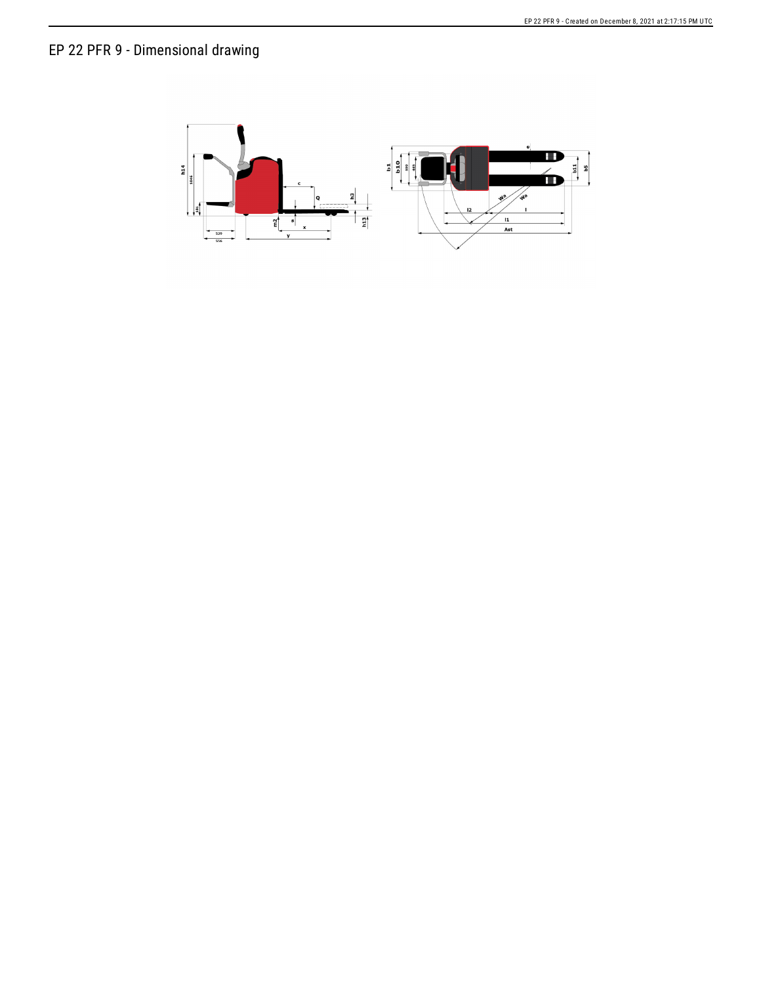## EP 22 PFR 9 - Dimensional drawing